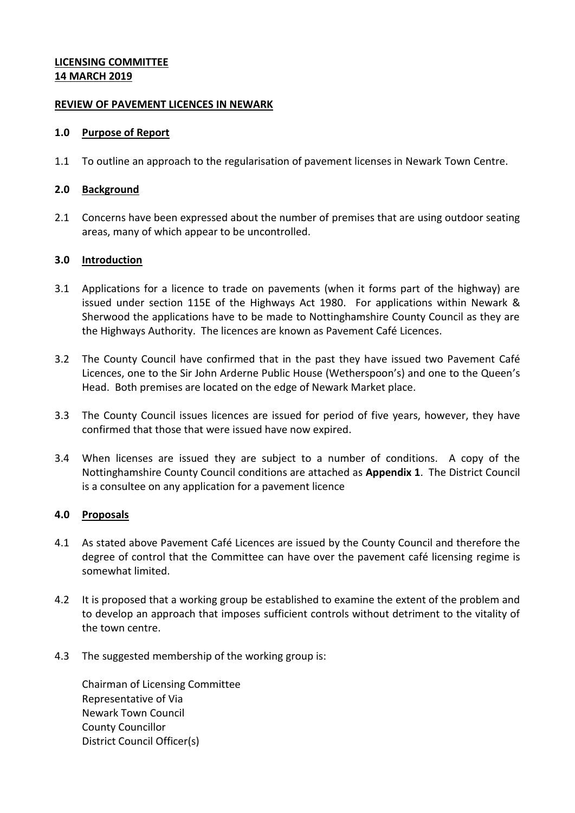# **LICENSING COMMITTEE 14 MARCH 2019**

### **REVIEW OF PAVEMENT LICENCES IN NEWARK**

#### **1.0 Purpose of Report**

1.1 To outline an approach to the regularisation of pavement licenses in Newark Town Centre.

### **2.0 Background**

2.1 Concerns have been expressed about the number of premises that are using outdoor seating areas, many of which appear to be uncontrolled.

### **3.0 Introduction**

- 3.1 Applications for a licence to trade on pavements (when it forms part of the highway) are issued under section 115E of the Highways Act 1980. For applications within Newark & Sherwood the applications have to be made to Nottinghamshire County Council as they are the Highways Authority. The licences are known as Pavement Café Licences.
- 3.2 The County Council have confirmed that in the past they have issued two Pavement Café Licences, one to the Sir John Arderne Public House (Wetherspoon's) and one to the Queen's Head. Both premises are located on the edge of Newark Market place.
- 3.3 The County Council issues licences are issued for period of five years, however, they have confirmed that those that were issued have now expired.
- 3.4 When licenses are issued they are subject to a number of conditions. A copy of the Nottinghamshire County Council conditions are attached as **Appendix 1**. The District Council is a consultee on any application for a pavement licence

### **4.0 Proposals**

- 4.1 As stated above Pavement Café Licences are issued by the County Council and therefore the degree of control that the Committee can have over the pavement café licensing regime is somewhat limited.
- 4.2 It is proposed that a working group be established to examine the extent of the problem and to develop an approach that imposes sufficient controls without detriment to the vitality of the town centre.
- 4.3 The suggested membership of the working group is:

Chairman of Licensing Committee Representative of Via Newark Town Council County Councillor District Council Officer(s)